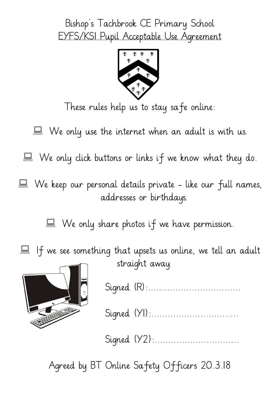## Bishop's Tachbrook CE Primary School EYFS/KS1 Pupil Acceptable Use Agreement



These rules help us to stay safe online:

 $\blacksquare$  We only use the internet when an adult is with us.

We only click buttons or links if we know what they do.

We keep our personal details private - like our full names, addresses or birthdays.

We only share photos if we have permission.

If we see something that upsets us online, we tell an adult straight away.



Signed (R):..................................

Signed (YI):................................

Signed (Y2):..............................

Agreed by BT Online Safety Officers 20.3.18